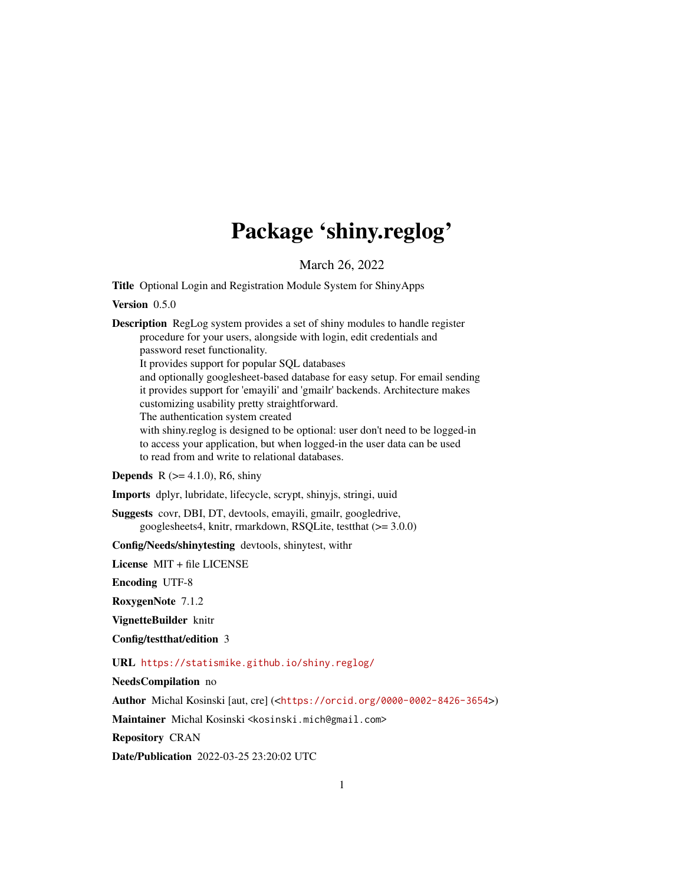# Package 'shiny.reglog'

March 26, 2022

<span id="page-0-0"></span>Title Optional Login and Registration Module System for ShinyApps

Version 0.5.0

Description RegLog system provides a set of shiny modules to handle register procedure for your users, alongside with login, edit credentials and password reset functionality. It provides support for popular SQL databases and optionally googlesheet-based database for easy setup. For email sending it provides support for 'emayili' and 'gmailr' backends. Architecture makes customizing usability pretty straightforward. The authentication system created with shiny.reglog is designed to be optional: user don't need to be logged-in to access your application, but when logged-in the user data can be used to read from and write to relational databases.

**Depends** R  $(>= 4.1.0)$ , R6, shiny

Imports dplyr, lubridate, lifecycle, scrypt, shinyjs, stringi, uuid

Suggests covr, DBI, DT, devtools, emayili, gmailr, googledrive, googlesheets4, knitr, rmarkdown, RSQLite, testthat (>= 3.0.0)

Config/Needs/shinytesting devtools, shinytest, withr

License MIT + file LICENSE

Encoding UTF-8

RoxygenNote 7.1.2

VignetteBuilder knitr

Config/testthat/edition 3

URL <https://statismike.github.io/shiny.reglog/>

NeedsCompilation no

Author Michal Kosinski [aut, cre] (<<https://orcid.org/0000-0002-8426-3654>>)

Maintainer Michal Kosinski <kosinski.mich@gmail.com>

Repository CRAN

Date/Publication 2022-03-25 23:20:02 UTC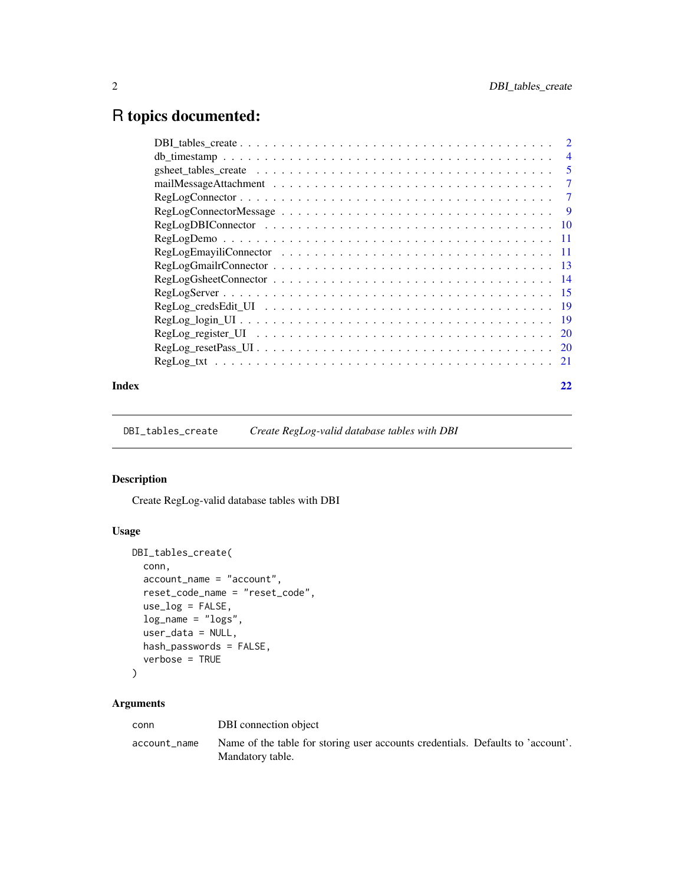# <span id="page-1-0"></span>R topics documented:

| Index |                                                                                                                          |  |
|-------|--------------------------------------------------------------------------------------------------------------------------|--|
|       |                                                                                                                          |  |
|       | $RegLog\_resetPass\_UI \dots \dots \dots \dots \dots \dots \dots \dots \dots \dots \dots \dots \dots \dots \dots \dots$  |  |
|       |                                                                                                                          |  |
|       |                                                                                                                          |  |
|       |                                                                                                                          |  |
|       |                                                                                                                          |  |
|       |                                                                                                                          |  |
|       |                                                                                                                          |  |
|       | $RegLogEmayiliConnector \dots \dots \dots \dots \dots \dots \dots \dots \dots \dots \dots \dots \dots \dots \dots \dots$ |  |
|       |                                                                                                                          |  |
|       |                                                                                                                          |  |
|       | $RegLogConnectorMessage \dots \dots \dots \dots \dots \dots \dots \dots \dots \dots \dots \dots \dots$                   |  |
|       | $RegLogConnector \ldots \ldots \ldots \ldots \ldots \ldots \ldots \ldots \ldots \ldots \ldots \ldots \ldots 7$           |  |
|       |                                                                                                                          |  |
|       |                                                                                                                          |  |
|       |                                                                                                                          |  |
|       |                                                                                                                          |  |

<span id="page-1-1"></span>DBI\_tables\_create *Create RegLog-valid database tables with DBI*

# Description

Create RegLog-valid database tables with DBI

# Usage

```
DBI_tables_create(
 conn,
 account_name = "account",
 reset_code_name = "reset_code",
 use_log = FALSE,
 log_name = "logs",user_data = NULL,
 hash_passwords = FALSE,
 verbose = TRUE
)
```
# Arguments

| conn         | DBI connection object                                                                               |
|--------------|-----------------------------------------------------------------------------------------------------|
| account name | Name of the table for storing user accounts credentials. Defaults to 'account'.<br>Mandatory table. |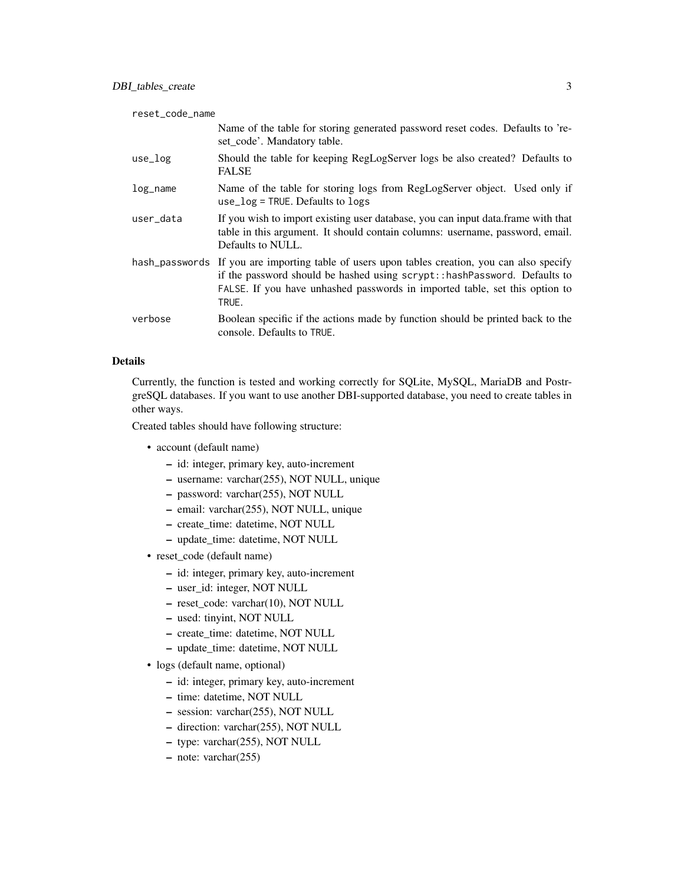| reset_code_name |                                                                                                                                                                                                                                                                    |
|-----------------|--------------------------------------------------------------------------------------------------------------------------------------------------------------------------------------------------------------------------------------------------------------------|
|                 | Name of the table for storing generated password reset codes. Defaults to 're-<br>set_code'. Mandatory table.                                                                                                                                                      |
| use_log         | Should the table for keeping RegLogServer logs be also created? Defaults to<br><b>FALSE</b>                                                                                                                                                                        |
| $log_name$      | Name of the table for storing logs from RegLogServer object. Used only if<br>$use_log = TRUE$ . Defaults to logs                                                                                                                                                   |
| user_data       | If you wish to import existing user database, you can input data.frame with that<br>table in this argument. It should contain columns: username, password, email.<br>Defaults to NULL.                                                                             |
|                 | hash_passwords If you are importing table of users upon tables creation, you can also specify<br>if the password should be hashed using scrypt:: hashPassword. Defaults to<br>FALSE. If you have unhashed passwords in imported table, set this option to<br>TRUE. |
| verbose         | Boolean specific if the actions made by function should be printed back to the<br>console. Defaults to TRUE.                                                                                                                                                       |

# Details

Currently, the function is tested and working correctly for SQLite, MySQL, MariaDB and PostrgreSQL databases. If you want to use another DBI-supported database, you need to create tables in other ways.

Created tables should have following structure:

- account (default name)
	- id: integer, primary key, auto-increment
	- username: varchar(255), NOT NULL, unique
	- password: varchar(255), NOT NULL
	- email: varchar(255), NOT NULL, unique
	- create\_time: datetime, NOT NULL
	- update\_time: datetime, NOT NULL
- reset\_code (default name)
	- id: integer, primary key, auto-increment
	- user\_id: integer, NOT NULL
	- reset\_code: varchar(10), NOT NULL
	- used: tinyint, NOT NULL
	- create\_time: datetime, NOT NULL
	- update\_time: datetime, NOT NULL
- logs (default name, optional)
	- id: integer, primary key, auto-increment
	- time: datetime, NOT NULL
	- session: varchar(255), NOT NULL
	- direction: varchar(255), NOT NULL
	- type: varchar(255), NOT NULL
	- note: varchar(255)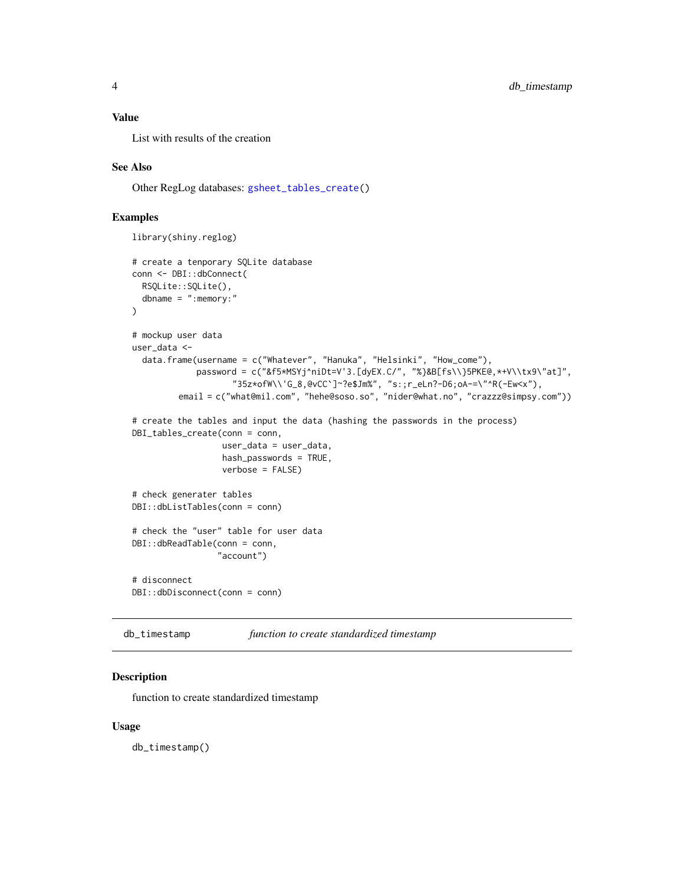#### <span id="page-3-0"></span>Value

List with results of the creation

#### See Also

Other RegLog databases: [gsheet\\_tables\\_create\(](#page-4-1))

#### Examples

```
library(shiny.reglog)
```

```
# create a tenporary SQLite database
conn <- DBI::dbConnect(
  RSQLite::SQLite(),
  dbname = ":memory:"
)
# mockup user data
user_data <-
  data.frame(username = c("Whatever", "Hanuka", "Helsinki", "How_come"),
             password = c("&f5*MSYj^niDt=V'3.[dyEX.C/", "%}&B[fs\\}5PKE@,*+V\\tx9\"at]",
                    "35z*ofW\\'G_8,@vCC`]~?e$Jm%", "s:;r_eLn?-D6;oA-=\"^R(-Ew<x"),
         email = c("what@mil.com", "hehe@soso.so", "nider@what.no", "crazzz@simpsy.com"))
# create the tables and input the data (hashing the passwords in the process)
DBI_tables_create(conn = conn,
                  user_data = user_data,
                  hash_passwords = TRUE,
                  verbose = FALSE)
# check generater tables
DBI::dbListTables(conn = conn)
# check the "user" table for user data
DBI::dbReadTable(conn = conn,
                 "account")
# disconnect
DBI::dbDisconnect(conn = conn)
```
db\_timestamp *function to create standardized timestamp*

#### Description

function to create standardized timestamp

#### Usage

db\_timestamp()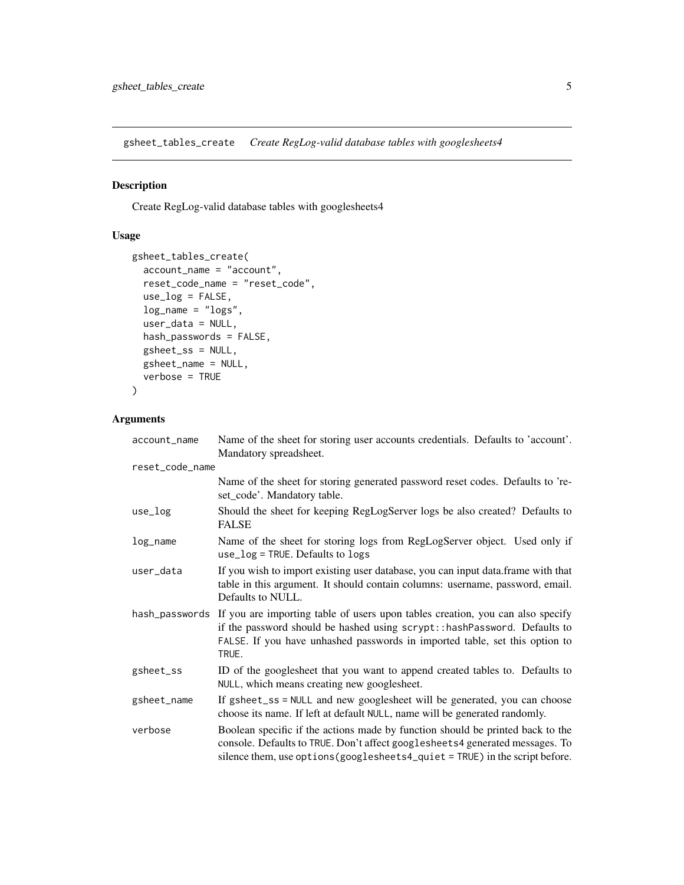<span id="page-4-1"></span><span id="page-4-0"></span>gsheet\_tables\_create *Create RegLog-valid database tables with googlesheets4*

# Description

Create RegLog-valid database tables with googlesheets4

# Usage

```
gsheet_tables_create(
 account_name = "account",
  reset_code_name = "reset_code",
 use_log = FALSE,
 log_name = "logs",user_data = NULL,
 hash_passwords = FALSE,
  gsheet_ss = NULL,
 gsheet_name = NULL,
  verbose = TRUE
)
```
# Arguments

| account_name    | Name of the sheet for storing user accounts credentials. Defaults to 'account'.<br>Mandatory spreadsheet.                                                                                                                                                          |
|-----------------|--------------------------------------------------------------------------------------------------------------------------------------------------------------------------------------------------------------------------------------------------------------------|
| reset_code_name |                                                                                                                                                                                                                                                                    |
|                 | Name of the sheet for storing generated password reset codes. Defaults to 're-<br>set_code'. Mandatory table.                                                                                                                                                      |
| use_log         | Should the sheet for keeping RegLogServer logs be also created? Defaults to<br><b>FALSE</b>                                                                                                                                                                        |
| log_name        | Name of the sheet for storing logs from RegLogServer object. Used only if<br>use_log = TRUE. Defaults to logs                                                                                                                                                      |
| user_data       | If you wish to import existing user database, you can input data.frame with that<br>table in this argument. It should contain columns: username, password, email.<br>Defaults to NULL.                                                                             |
|                 | hash_passwords If you are importing table of users upon tables creation, you can also specify<br>if the password should be hashed using scrypt:: hashPassword. Defaults to<br>FALSE. If you have unhashed passwords in imported table, set this option to<br>TRUE. |
| gsheet_ss       | ID of the googlesheet that you want to append created tables to. Defaults to<br>NULL, which means creating new googlesheet.                                                                                                                                        |
| gsheet_name     | If gsheet_ss = NULL and new googlesheet will be generated, you can choose<br>choose its name. If left at default NULL, name will be generated randomly.                                                                                                            |
| verbose         | Boolean specific if the actions made by function should be printed back to the<br>console. Defaults to TRUE. Don't affect googlesheets4 generated messages. To<br>silence them, use options (googlesheets4_quiet = TRUE) in the script before.                     |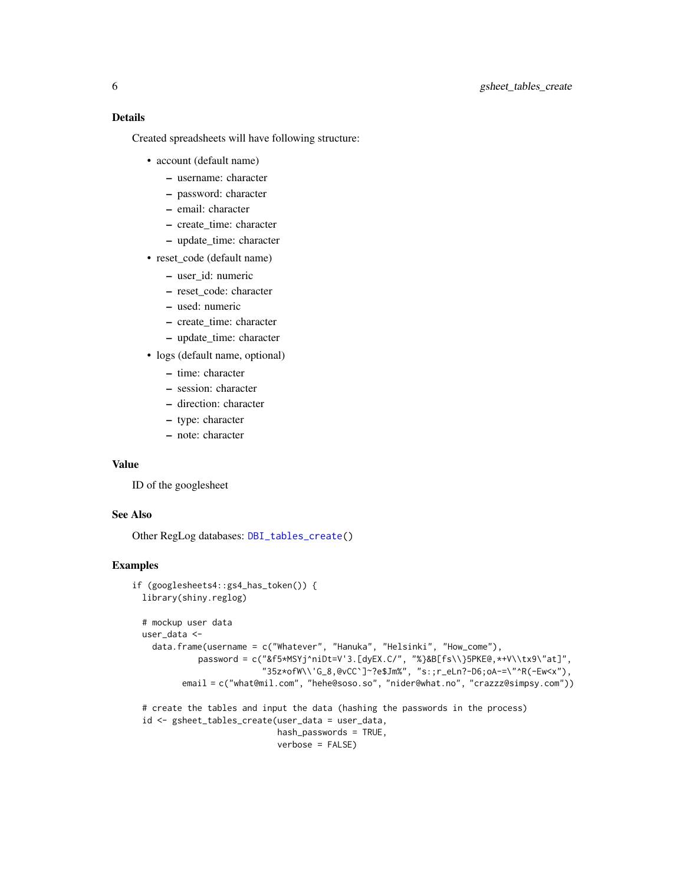# <span id="page-5-0"></span>6 gsheet\_tables\_create

# Details

Created spreadsheets will have following structure:

- account (default name)
	- username: character
	- password: character
	- email: character
	- create\_time: character
	- update\_time: character
- reset\_code (default name)
	- user\_id: numeric
	- reset\_code: character
	- used: numeric
	- create\_time: character
	- update\_time: character
- logs (default name, optional)
	- time: character
	- session: character
	- direction: character
	- type: character
	- note: character

#### Value

ID of the googlesheet

# See Also

Other RegLog databases: [DBI\\_tables\\_create\(](#page-1-1))

#### Examples

```
if (googlesheets4::gs4_has_token()) {
 library(shiny.reglog)
 # mockup user data
 user_data <-
    data.frame(username = c("Whatever", "Hanuka", "Helsinki", "How_come"),
             password = c("&f5*MSYj^niDt=V'3.[dyEX.C/", "%}&B[fs\\}5PKE@,*+V\\tx9\"at]",
                          "35z*ofW\\'G_8,@vCC`]~?e$Jm%", "s:;r_eLn?-D6;oA-=\"^R(-Ew<x"),
          email = c("what@mil.com", "hehe@soso.so", "nider@what.no", "crazzz@simpsy.com"))
 # create the tables and input the data (hashing the passwords in the process)
 id <- gsheet_tables_create(user_data = user_data,
                            hash_passwords = TRUE,
                             verbose = FALSE)
```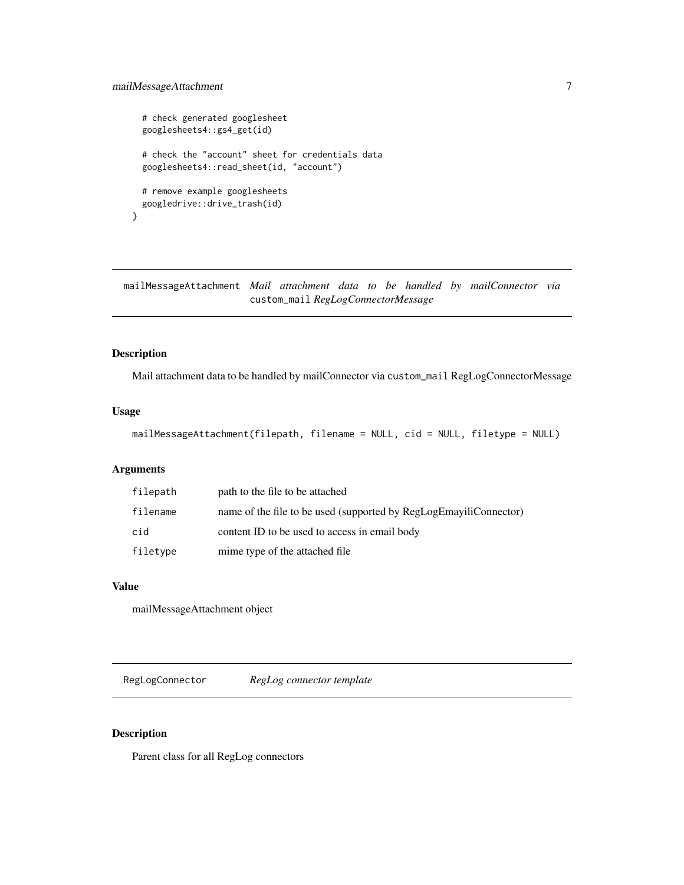# <span id="page-6-0"></span>mailMessageAttachment 7

```
# check generated googlesheet
 googlesheets4::gs4_get(id)
 # check the "account" sheet for credentials data
 googlesheets4::read_sheet(id, "account")
 # remove example googlesheets
 googledrive::drive_trash(id)
}
```
mailMessageAttachment *Mail attachment data to be handled by mailConnector via* custom\_mail *RegLogConnectorMessage*

#### Description

Mail attachment data to be handled by mailConnector via custom\_mail RegLogConnectorMessage

# Usage

```
mailMessageAttachment(filepath, filename = NULL, cid = NULL, filetype = NULL)
```
# Arguments

| filepath | path to the file to be attached                                   |
|----------|-------------------------------------------------------------------|
| filename | name of the file to be used (supported by RegLogEmayiliConnector) |
| cid      | content ID to be used to access in email body                     |
| filetype | mime type of the attached file.                                   |

#### Value

mailMessageAttachment object

RegLogConnector *RegLog connector template*

#### Description

Parent class for all RegLog connectors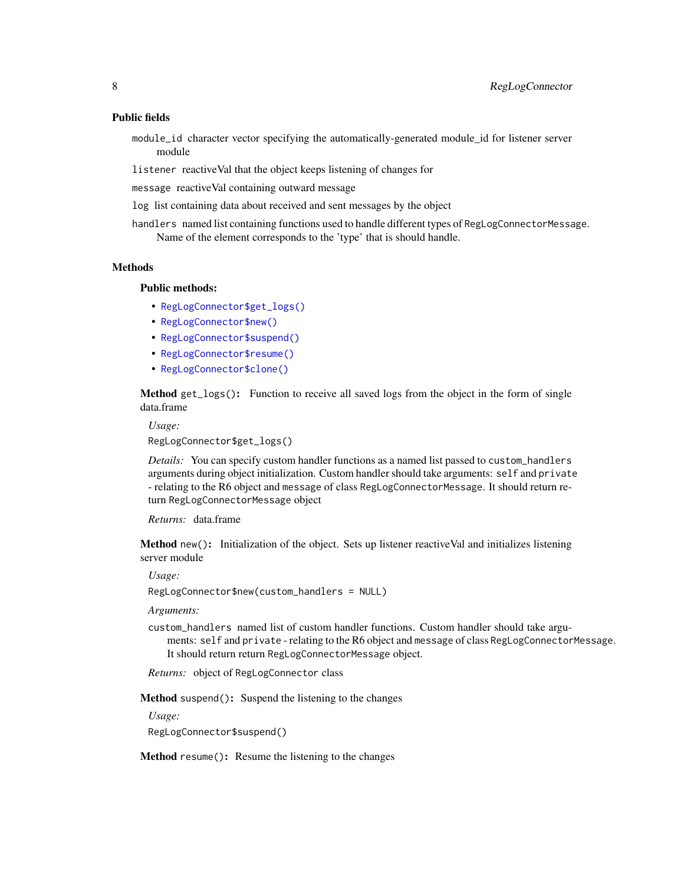#### Public fields

- module\_id character vector specifying the automatically-generated module\_id for listener server module
- listener reactiveVal that the object keeps listening of changes for
- message reactiveVal containing outward message
- log list containing data about received and sent messages by the object
- handlers named list containing functions used to handle different types of RegLogConnectorMessage. Name of the element corresponds to the 'type' that is should handle.

#### **Methods**

#### Public methods:

- [RegLogConnector\\$get\\_logs\(\)](#page-7-0)
- [RegLogConnector\\$new\(\)](#page-7-1)
- [RegLogConnector\\$suspend\(\)](#page-7-2)
- [RegLogConnector\\$resume\(\)](#page-7-3)
- [RegLogConnector\\$clone\(\)](#page-8-1)

<span id="page-7-0"></span>Method get\_logs(): Function to receive all saved logs from the object in the form of single data.frame

#### *Usage:*

RegLogConnector\$get\_logs()

*Details:* You can specify custom handler functions as a named list passed to custom\_handlers arguments during object initialization. Custom handler should take arguments: self and private - relating to the R6 object and message of class RegLogConnectorMessage. It should return return RegLogConnectorMessage object

*Returns:* data.frame

<span id="page-7-1"></span>Method new(): Initialization of the object. Sets up listener reactiveVal and initializes listening server module

*Usage:*

RegLogConnector\$new(custom\_handlers = NULL)

*Arguments:*

custom\_handlers named list of custom handler functions. Custom handler should take arguments: self and private - relating to the R6 object and message of class RegLogConnectorMessage. It should return return RegLogConnectorMessage object.

*Returns:* object of RegLogConnector class

<span id="page-7-2"></span>Method suspend(): Suspend the listening to the changes

*Usage:*

RegLogConnector\$suspend()

<span id="page-7-3"></span>Method resume(): Resume the listening to the changes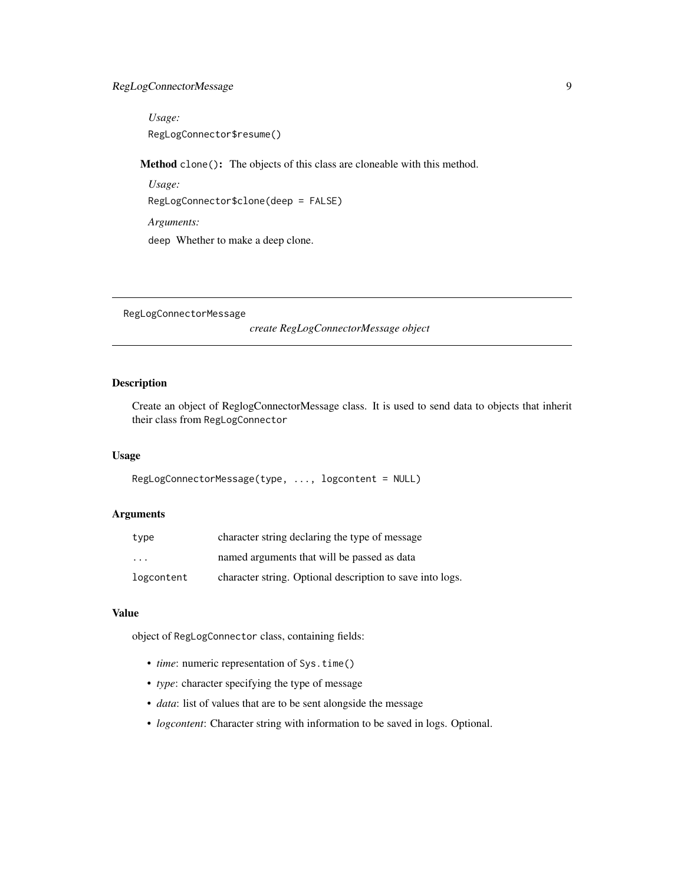# <span id="page-8-0"></span>RegLogConnectorMessage 9

*Usage:* RegLogConnector\$resume()

<span id="page-8-1"></span>Method clone(): The objects of this class are cloneable with this method.

*Usage:* RegLogConnector\$clone(deep = FALSE) *Arguments:* deep Whether to make a deep clone.

RegLogConnectorMessage

*create RegLogConnectorMessage object*

# Description

Create an object of ReglogConnectorMessage class. It is used to send data to objects that inherit their class from RegLogConnector

### Usage

```
RegLogConnectorMessage(type, ..., logcontent = NULL)
```
#### Arguments

| type              | character string declaring the type of message            |
|-------------------|-----------------------------------------------------------|
| $\cdot\cdot\cdot$ | named arguments that will be passed as data               |
| logcontent        | character string. Optional description to save into logs. |

#### Value

object of RegLogConnector class, containing fields:

- *time*: numeric representation of Sys.time()
- *type*: character specifying the type of message
- *data*: list of values that are to be sent alongside the message
- *logcontent*: Character string with information to be saved in logs. Optional.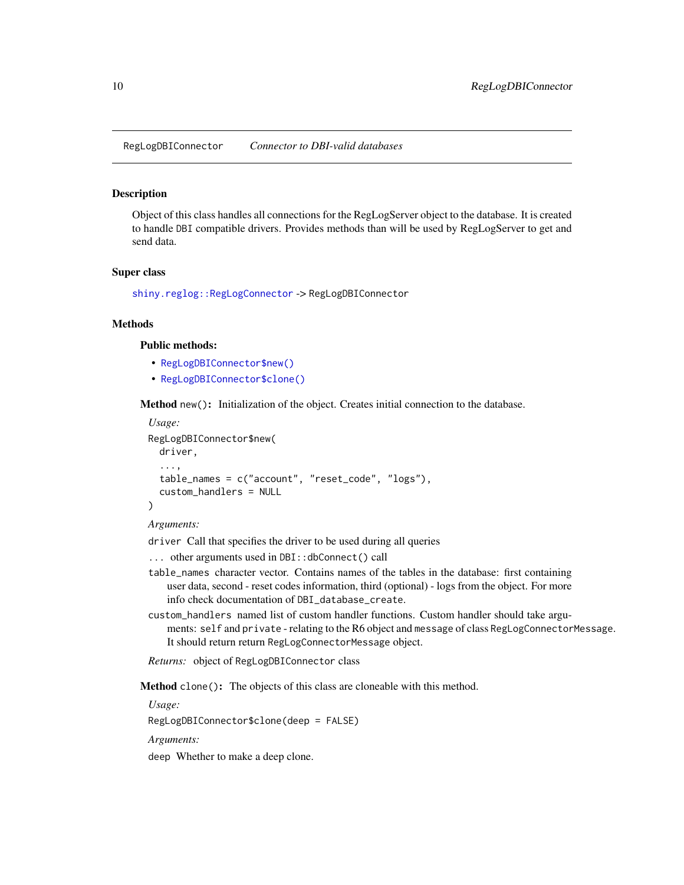<span id="page-9-1"></span><span id="page-9-0"></span>RegLogDBIConnector *Connector to DBI-valid databases*

#### Description

Object of this class handles all connections for the RegLogServer object to the database. It is created to handle DBI compatible drivers. Provides methods than will be used by RegLogServer to get and send data.

#### Super class

[shiny.reglog::RegLogConnector](#page-0-0) -> RegLogDBIConnector

#### Methods

#### Public methods:

- [RegLogDBIConnector\\$new\(\)](#page-7-1)
- [RegLogDBIConnector\\$clone\(\)](#page-8-1)

Method new(): Initialization of the object. Creates initial connection to the database.

```
Usage:
RegLogDBIConnector$new(
 driver,
  ...,
  table_names = c("account", "reset_code", "logs"),
  custom_handlers = NULL
)
```
#### *Arguments:*

driver Call that specifies the driver to be used during all queries

- ... other arguments used in DBI::dbConnect() call
- table\_names character vector. Contains names of the tables in the database: first containing user data, second - reset codes information, third (optional) - logs from the object. For more info check documentation of DBI\_database\_create.
- custom\_handlers named list of custom handler functions. Custom handler should take arguments: self and private - relating to the R6 object and message of class RegLogConnectorMessage. It should return return RegLogConnectorMessage object.

*Returns:* object of RegLogDBIConnector class

Method clone(): The objects of this class are cloneable with this method.

*Usage:*

RegLogDBIConnector\$clone(deep = FALSE)

*Arguments:*

deep Whether to make a deep clone.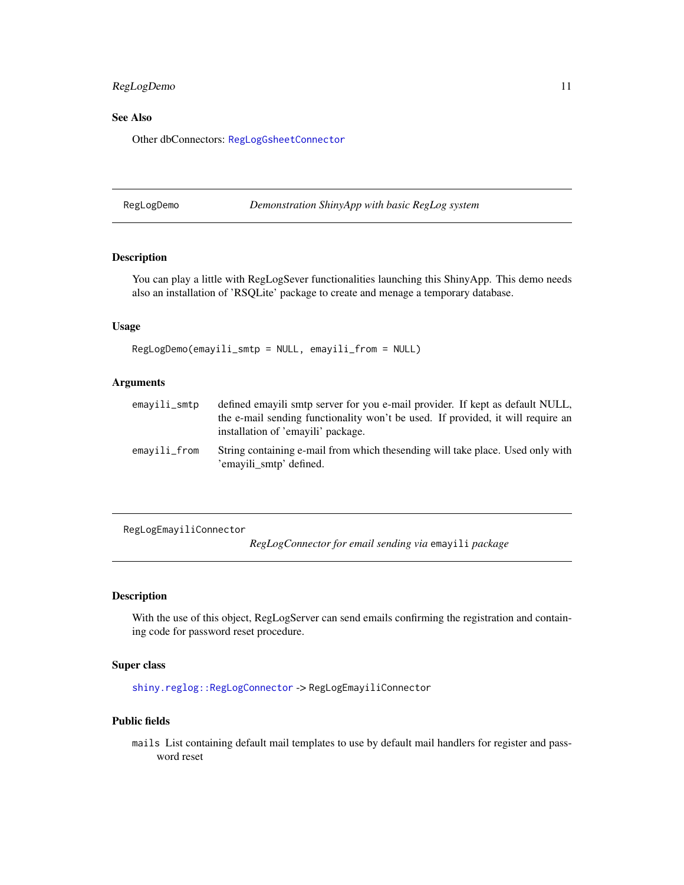# <span id="page-10-0"></span>RegLogDemo 11

#### See Also

Other dbConnectors: [RegLogGsheetConnector](#page-13-1)

RegLogDemo *Demonstration ShinyApp with basic RegLog system*

# Description

You can play a little with RegLogSever functionalities launching this ShinyApp. This demo needs also an installation of 'RSQLite' package to create and menage a temporary database.

#### Usage

RegLogDemo(emayili\_smtp = NULL, emayili\_from = NULL)

#### Arguments

| emavili_smtp | defined emayili smtp server for you e-mail provider. If kept as default NULL,<br>the e-mail sending functionality won't be used. If provided, it will require an |
|--------------|------------------------------------------------------------------------------------------------------------------------------------------------------------------|
|              | installation of 'emayili' package.                                                                                                                               |
| emavili_from | String containing e-mail from which thesending will take place. Used only with<br>'emayili smtp' defined.                                                        |

<span id="page-10-1"></span>RegLogEmayiliConnector

*RegLogConnector for email sending via* emayili *package*

# Description

With the use of this object, RegLogServer can send emails confirming the registration and containing code for password reset procedure.

# Super class

[shiny.reglog::RegLogConnector](#page-0-0) -> RegLogEmayiliConnector

#### Public fields

mails List containing default mail templates to use by default mail handlers for register and password reset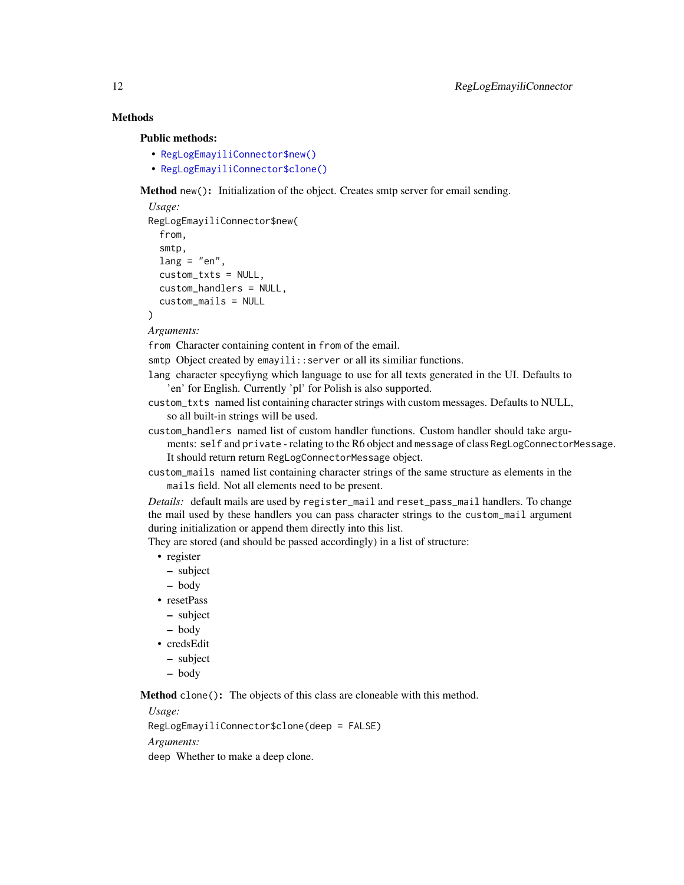# Methods

Public methods:

- [RegLogEmayiliConnector\\$new\(\)](#page-7-1)
- [RegLogEmayiliConnector\\$clone\(\)](#page-8-1)

Method new(): Initialization of the object. Creates smtp server for email sending.

```
Usage:
RegLogEmayiliConnector$new(
 from,
  smtp,
 lang = "en",custom_txts = NULL,
 custom_handlers = NULL,
  custom_mails = NULL
)
```
*Arguments:*

from Character containing content in from of the email.

smtp Object created by emayili::server or all its similiar functions.

lang character specyfiyng which language to use for all texts generated in the UI. Defaults to 'en' for English. Currently 'pl' for Polish is also supported.

custom\_txts named list containing character strings with custom messages. Defaults to NULL, so all built-in strings will be used.

custom\_handlers named list of custom handler functions. Custom handler should take arguments: self and private - relating to the R6 object and message of class RegLogConnectorMessage. It should return return RegLogConnectorMessage object.

custom\_mails named list containing character strings of the same structure as elements in the mails field. Not all elements need to be present.

*Details:* default mails are used by register\_mail and reset\_pass\_mail handlers. To change the mail used by these handlers you can pass character strings to the custom\_mail argument during initialization or append them directly into this list.

They are stored (and should be passed accordingly) in a list of structure:

- register
	- subject
	- body
- resetPass
	- subject
- body
- credsEdit
- subject
- body

Method clone(): The objects of this class are cloneable with this method.

*Usage:*

RegLogEmayiliConnector\$clone(deep = FALSE)

*Arguments:*

deep Whether to make a deep clone.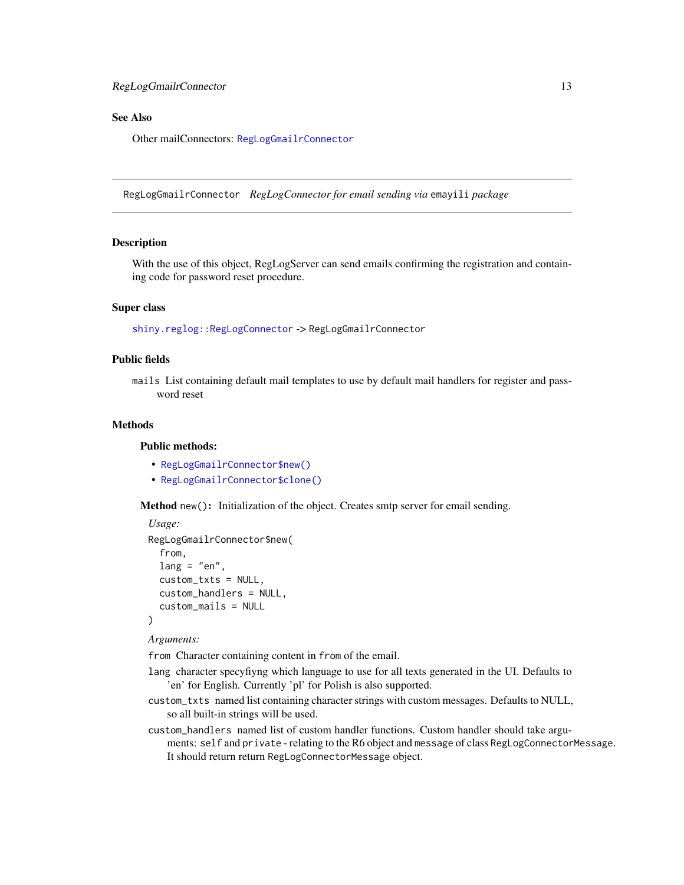# <span id="page-12-0"></span>See Also

Other mailConnectors: [RegLogGmailrConnector](#page-12-1)

<span id="page-12-1"></span>RegLogGmailrConnector *RegLogConnector for email sending via* emayili *package*

#### Description

With the use of this object, RegLogServer can send emails confirming the registration and containing code for password reset procedure.

#### Super class

[shiny.reglog::RegLogConnector](#page-0-0) -> RegLogGmailrConnector

#### Public fields

mails List containing default mail templates to use by default mail handlers for register and password reset

#### **Methods**

#### Public methods:

- [RegLogGmailrConnector\\$new\(\)](#page-7-1)
- [RegLogGmailrConnector\\$clone\(\)](#page-8-1)

Method new(): Initialization of the object. Creates smtp server for email sending.

```
Usage:
RegLogGmailrConnector$new(
  from,
  lang = "en",custom_txts = NULL,
  custom_handlers = NULL,
  custom_mails = NULL
)
```
*Arguments:*

from Character containing content in from of the email.

- lang character specyfiyng which language to use for all texts generated in the UI. Defaults to 'en' for English. Currently 'pl' for Polish is also supported.
- custom\_txts named list containing character strings with custom messages. Defaults to NULL, so all built-in strings will be used.
- custom\_handlers named list of custom handler functions. Custom handler should take arguments: self and private - relating to the R6 object and message of class RegLogConnectorMessage. It should return return RegLogConnectorMessage object.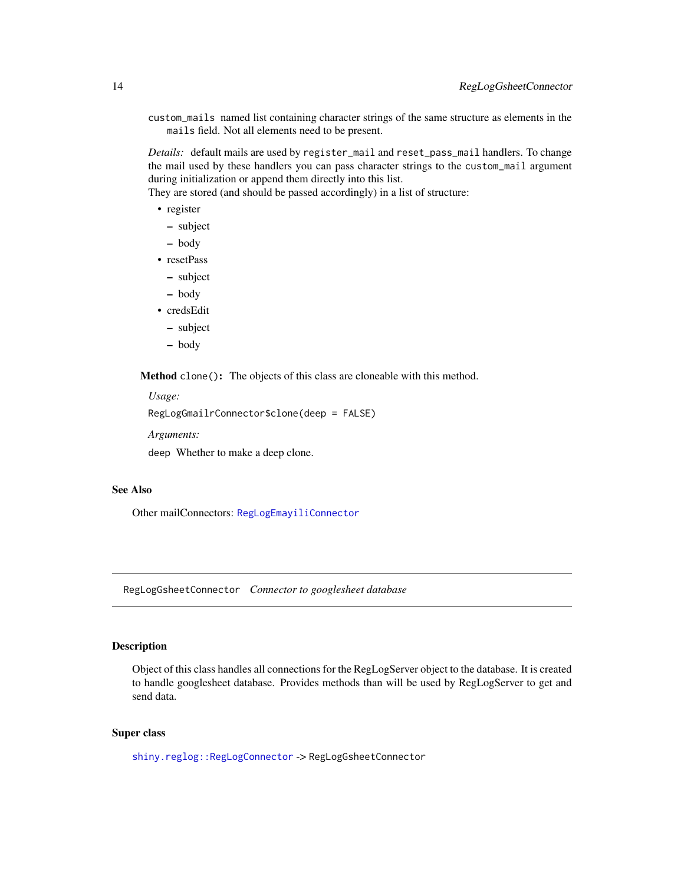<span id="page-13-0"></span>custom\_mails named list containing character strings of the same structure as elements in the mails field. Not all elements need to be present.

*Details:* default mails are used by register\_mail and reset\_pass\_mail handlers. To change the mail used by these handlers you can pass character strings to the custom\_mail argument during initialization or append them directly into this list.

They are stored (and should be passed accordingly) in a list of structure:

- register
	- subject
	- body
- resetPass
	- subject
	- body
- credsEdit
	- subject
	- body

Method clone(): The objects of this class are cloneable with this method.

*Usage:*

```
RegLogGmailrConnector$clone(deep = FALSE)
```
*Arguments:*

deep Whether to make a deep clone.

#### See Also

Other mailConnectors: [RegLogEmayiliConnector](#page-10-1)

<span id="page-13-1"></span>RegLogGsheetConnector *Connector to googlesheet database*

# **Description**

Object of this class handles all connections for the RegLogServer object to the database. It is created to handle googlesheet database. Provides methods than will be used by RegLogServer to get and send data.

# Super class

[shiny.reglog::RegLogConnector](#page-0-0) -> RegLogGsheetConnector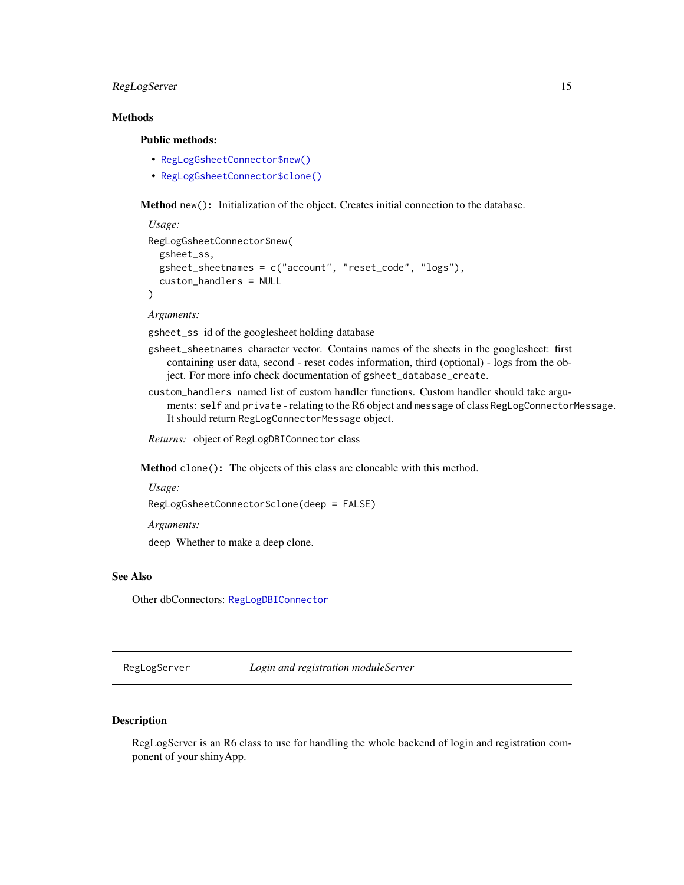# <span id="page-14-0"></span>RegLogServer 15

# **Methods**

#### Public methods:

- [RegLogGsheetConnector\\$new\(\)](#page-7-1)
- [RegLogGsheetConnector\\$clone\(\)](#page-8-1)

Method new(): Initialization of the object. Creates initial connection to the database.

```
Usage:
RegLogGsheetConnector$new(
  gsheet_ss,
  gsheet_sheetnames = c("account", "reset_code", "logs"),
  custom_handlers = NULL
)
```
*Arguments:*

gsheet\_ss id of the googlesheet holding database

- gsheet\_sheetnames character vector. Contains names of the sheets in the googlesheet: first containing user data, second - reset codes information, third (optional) - logs from the object. For more info check documentation of gsheet\_database\_create.
- custom\_handlers named list of custom handler functions. Custom handler should take arguments: self and private - relating to the R6 object and message of class RegLogConnectorMessage. It should return RegLogConnectorMessage object.

*Returns:* object of RegLogDBIConnector class

Method clone(): The objects of this class are cloneable with this method.

# *Usage:*

RegLogGsheetConnector\$clone(deep = FALSE)

*Arguments:*

deep Whether to make a deep clone.

# See Also

Other dbConnectors: [RegLogDBIConnector](#page-9-1)

RegLogServer *Login and registration moduleServer*

# **Description**

RegLogServer is an R6 class to use for handling the whole backend of login and registration component of your shinyApp.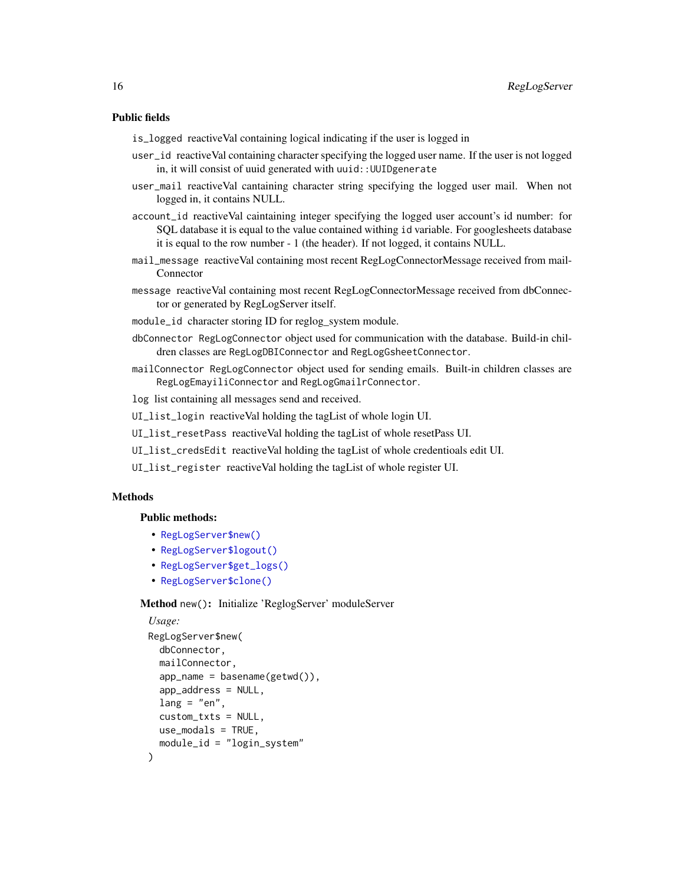#### Public fields

is\_logged reactiveVal containing logical indicating if the user is logged in

- user\_id reactiveVal containing character specifying the logged user name. If the user is not logged in, it will consist of uuid generated with uuid:: UUIDgenerate
- user\_mail reactiveVal cantaining character string specifying the logged user mail. When not logged in, it contains NULL.
- account\_id reactiveVal caintaining integer specifying the logged user account's id number: for SQL database it is equal to the value contained withing id variable. For googlesheets database it is equal to the row number - 1 (the header). If not logged, it contains NULL.
- mail\_message reactiveVal containing most recent RegLogConnectorMessage received from mail-Connector
- message reactiveVal containing most recent RegLogConnectorMessage received from dbConnector or generated by RegLogServer itself.
- module\_id character storing ID for reglog\_system module.
- dbConnector RegLogConnector object used for communication with the database. Build-in children classes are RegLogDBIConnector and RegLogGsheetConnector.
- mailConnector RegLogConnector object used for sending emails. Built-in children classes are RegLogEmayiliConnector and RegLogGmailrConnector.
- log list containing all messages send and received.
- UI\_list\_login reactiveVal holding the tagList of whole login UI.
- UI\_list\_resetPass reactiveVal holding the tagList of whole resetPass UI.
- UI\_list\_credsEdit reactiveVal holding the tagList of whole credentioals edit UI.
- UI\_list\_register reactiveVal holding the tagList of whole register UI.

# **Methods**

#### Public methods:

- [RegLogServer\\$new\(\)](#page-7-1)
- [RegLogServer\\$logout\(\)](#page-16-0)
- [RegLogServer\\$get\\_logs\(\)](#page-7-0)
- [RegLogServer\\$clone\(\)](#page-8-1)

#### Method new(): Initialize 'ReglogServer' moduleServer

```
Usage:
RegLogServer$new(
 dbConnector,
 mailConnector,
 app_name = basename(getwd()),
  app_address = NULL,
 lang = "en",custom_txts = NULL,
 use_modals = TRUE,
 module_id = "login_system"
)
```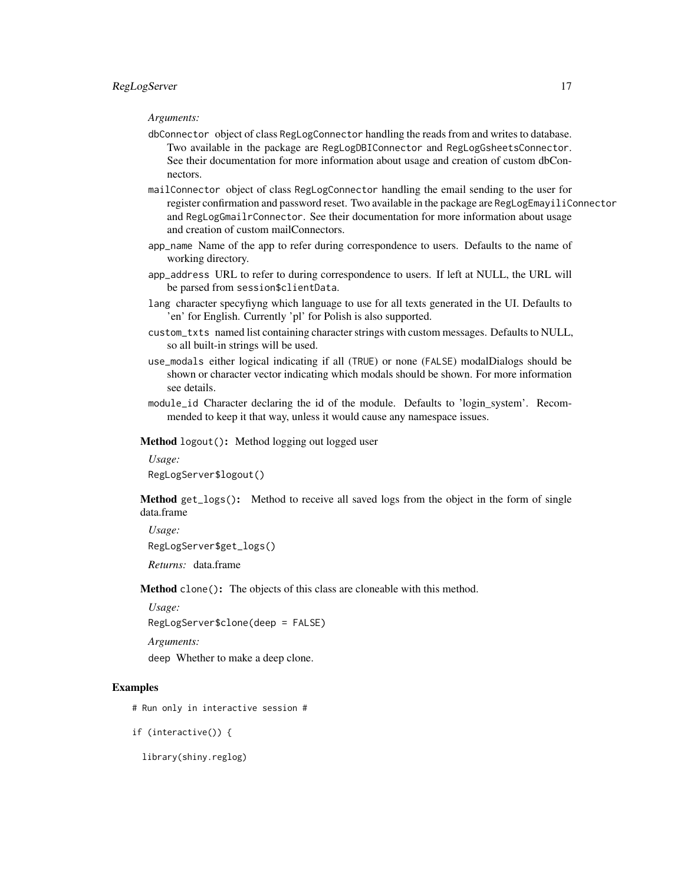#### *Arguments:*

- dbConnector object of class RegLogConnector handling the reads from and writes to database. Two available in the package are RegLogDBIConnector and RegLogGsheetsConnector. See their documentation for more information about usage and creation of custom dbConnectors.
- mailConnector object of class RegLogConnector handling the email sending to the user for register confirmation and password reset. Two available in the package are RegLogEmayiliConnector and RegLogGmailrConnector. See their documentation for more information about usage and creation of custom mailConnectors.
- app\_name Name of the app to refer during correspondence to users. Defaults to the name of working directory.
- app\_address URL to refer to during correspondence to users. If left at NULL, the URL will be parsed from session\$clientData.
- lang character specyfiyng which language to use for all texts generated in the UI. Defaults to 'en' for English. Currently 'pl' for Polish is also supported.
- custom\_txts named list containing character strings with custom messages. Defaults to NULL, so all built-in strings will be used.
- use\_modals either logical indicating if all (TRUE) or none (FALSE) modalDialogs should be shown or character vector indicating which modals should be shown. For more information see details.
- module\_id Character declaring the id of the module. Defaults to 'login\_system'. Recommended to keep it that way, unless it would cause any namespace issues.

<span id="page-16-0"></span>Method logout(): Method logging out logged user

```
Usage:
RegLogServer$logout()
```
Method get\_logs(): Method to receive all saved logs from the object in the form of single data.frame

*Usage:* RegLogServer\$get\_logs() *Returns:* data.frame

Method clone(): The objects of this class are cloneable with this method.

*Usage:*

RegLogServer\$clone(deep = FALSE)

```
Arguments:
```
deep Whether to make a deep clone.

# Examples

# Run only in interactive session #

if (interactive()) {

library(shiny.reglog)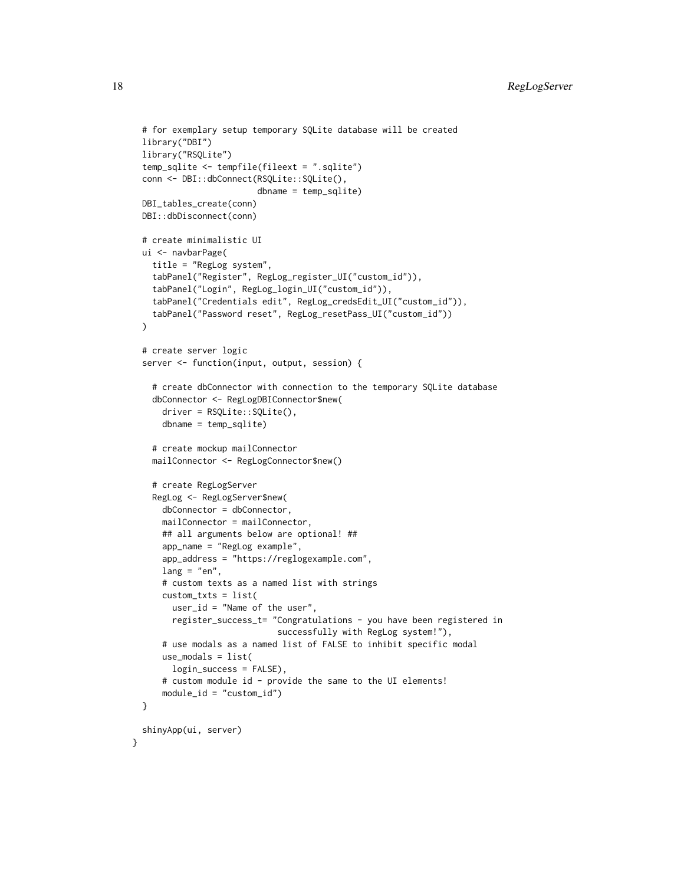```
# for exemplary setup temporary SQLite database will be created
library("DBI")
library("RSQLite")
temp_sqlite <- tempfile(fileext = ".sqlite")
conn <- DBI::dbConnect(RSQLite::SQLite(),
                       dbname = temp_sqlite)
DBI_tables_create(conn)
DBI::dbDisconnect(conn)
# create minimalistic UI
ui <- navbarPage(
  title = "RegLog system",
  tabPanel("Register", RegLog_register_UI("custom_id")),
  tabPanel("Login", RegLog_login_UI("custom_id")),
  tabPanel("Credentials edit", RegLog_credsEdit_UI("custom_id")),
  tabPanel("Password reset", RegLog_resetPass_UI("custom_id"))
)
# create server logic
server <- function(input, output, session) {
  # create dbConnector with connection to the temporary SQLite database
  dbConnector <- RegLogDBIConnector$new(
    driver = RSQLite::SQLite(),
    dbname = temp_sqlite)
  # create mockup mailConnector
  mailConnector <- RegLogConnector$new()
  # create RegLogServer
  RegLog <- RegLogServer$new(
    dbConnector = dbConnector,
    mailConnector = mailConnector,
    ## all arguments below are optional! ##
    app_name = "RegLog example",
    app_address = "https://reglogexample.com",
    lang = "en",# custom texts as a named list with strings
    custom_txts = list(
      user_id = "Name of the user",
      register_success_t= "Congratulations - you have been registered in
                           successfully with RegLog system!"),
    # use modals as a named list of FALSE to inhibit specific modal
    use_modals = list(
      login_success = FALSE),
    # custom module id - provide the same to the UI elements!
    module_id = "custom_id")}
shinyApp(ui, server)
```
}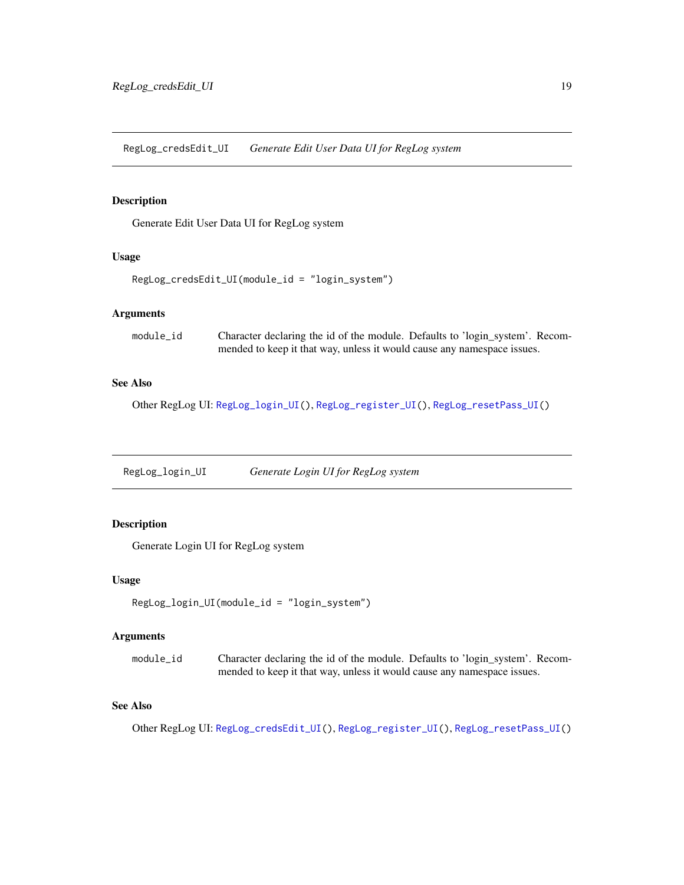<span id="page-18-2"></span><span id="page-18-0"></span>RegLog\_credsEdit\_UI *Generate Edit User Data UI for RegLog system*

# Description

Generate Edit User Data UI for RegLog system

# Usage

```
RegLog_credsEdit_UI(module_id = "login_system")
```
# Arguments

| module_id | Character declaring the id of the module. Defaults to 'login_system'. Recom- |
|-----------|------------------------------------------------------------------------------|
|           | mended to keep it that way, unless it would cause any namespace issues.      |

# See Also

Other RegLog UI: [RegLog\\_login\\_UI\(](#page-18-1)), [RegLog\\_register\\_UI\(](#page-19-1)), [RegLog\\_resetPass\\_UI\(](#page-19-2))

<span id="page-18-1"></span>RegLog\_login\_UI *Generate Login UI for RegLog system*

# Description

Generate Login UI for RegLog system

#### Usage

```
RegLog_login_UI(module_id = "login_system")
```
# Arguments

| module id | Character declaring the id of the module. Defaults to 'login_system'. Recom- |
|-----------|------------------------------------------------------------------------------|
|           | mended to keep it that way, unless it would cause any namespace issues.      |

#### See Also

Other RegLog UI: [RegLog\\_credsEdit\\_UI\(](#page-18-2)), [RegLog\\_register\\_UI\(](#page-19-1)), [RegLog\\_resetPass\\_UI\(](#page-19-2))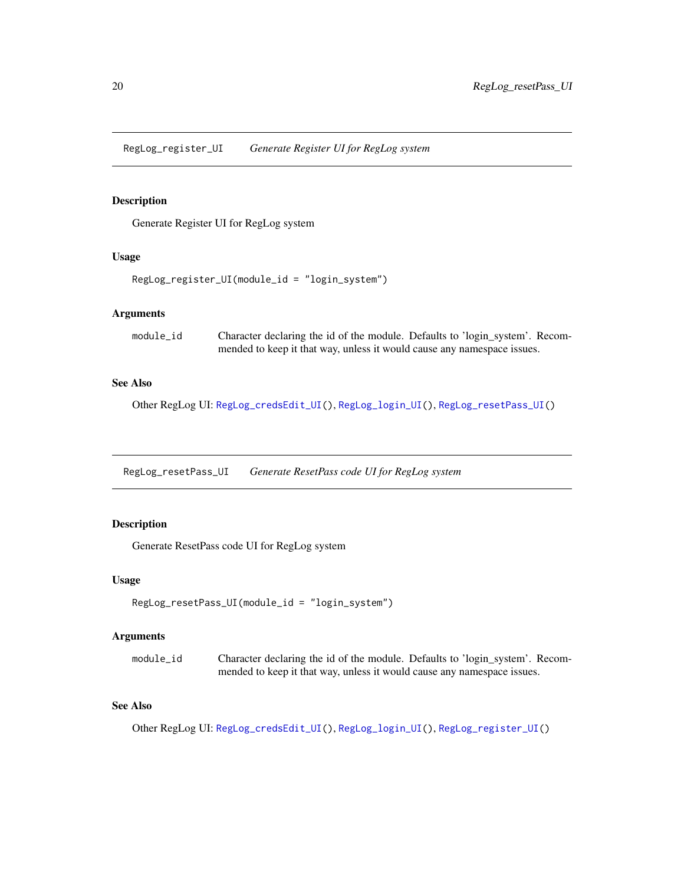<span id="page-19-1"></span><span id="page-19-0"></span>RegLog\_register\_UI *Generate Register UI for RegLog system*

# Description

Generate Register UI for RegLog system

# Usage

```
RegLog_register_UI(module_id = "login_system")
```
# Arguments

| module_id | Character declaring the id of the module. Defaults to 'login_system'. Recom- |
|-----------|------------------------------------------------------------------------------|
|           | mended to keep it that way, unless it would cause any namespace issues.      |

# See Also

Other RegLog UI: [RegLog\\_credsEdit\\_UI\(](#page-18-2)), [RegLog\\_login\\_UI\(](#page-18-1)), [RegLog\\_resetPass\\_UI\(](#page-19-2))

<span id="page-19-2"></span>RegLog\_resetPass\_UI *Generate ResetPass code UI for RegLog system*

# Description

Generate ResetPass code UI for RegLog system

#### Usage

```
RegLog_resetPass_UI(module_id = "login_system")
```
#### Arguments

| module id | Character declaring the id of the module. Defaults to 'login_system'. Recom- |
|-----------|------------------------------------------------------------------------------|
|           | mended to keep it that way, unless it would cause any namespace issues.      |

#### See Also

Other RegLog UI: [RegLog\\_credsEdit\\_UI\(](#page-18-2)), [RegLog\\_login\\_UI\(](#page-18-1)), [RegLog\\_register\\_UI\(](#page-19-1))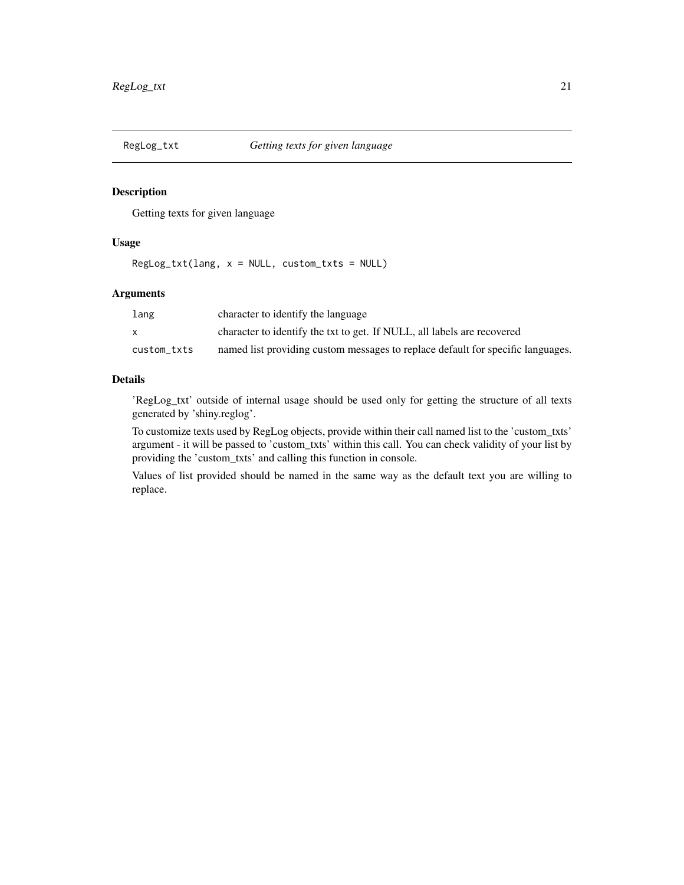<span id="page-20-0"></span>

#### Description

Getting texts for given language

# Usage

 $RegLog_{txtxt(lang, x = NULL, custom_txts = NULL)$ 

# Arguments

| lang        | character to identify the language                                              |
|-------------|---------------------------------------------------------------------------------|
|             | character to identify the txt to get. If NULL, all labels are recovered         |
| custom txts | named list providing custom messages to replace default for specific languages. |

### Details

'RegLog\_txt' outside of internal usage should be used only for getting the structure of all texts generated by 'shiny.reglog'.

To customize texts used by RegLog objects, provide within their call named list to the 'custom\_txts' argument - it will be passed to 'custom\_txts' within this call. You can check validity of your list by providing the 'custom\_txts' and calling this function in console.

Values of list provided should be named in the same way as the default text you are willing to replace.